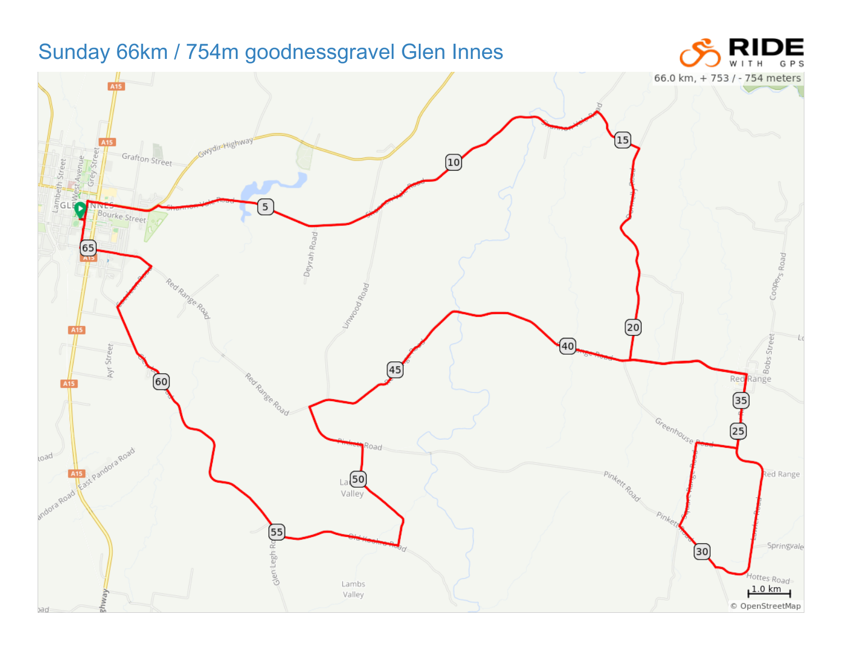## Sunday 66km / 754m goodnessgravel Glen Innes



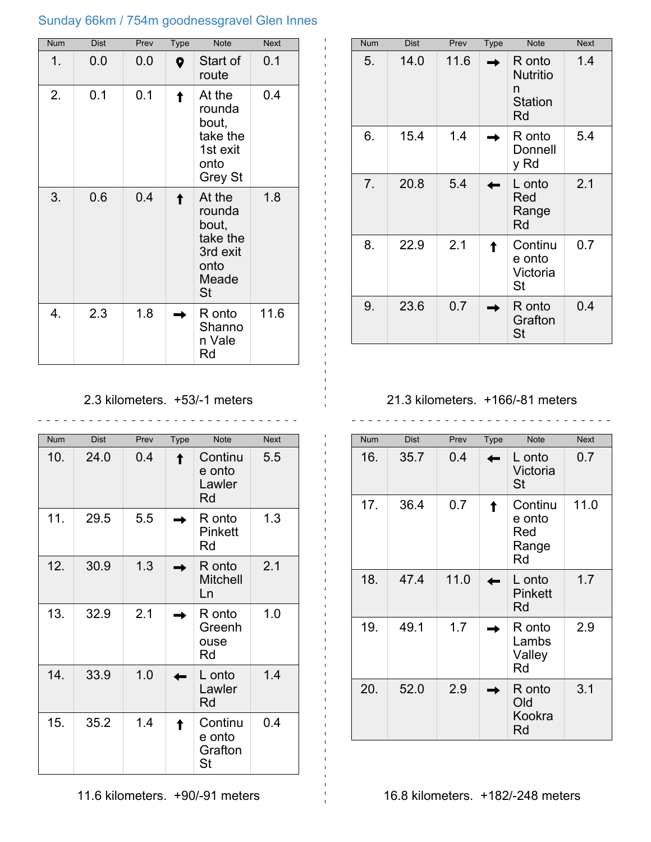| <b>Num</b> | <b>Dist</b> | Prev | <b>Type</b> | <b>Note</b>                                                                 | <b>Next</b> |
|------------|-------------|------|-------------|-----------------------------------------------------------------------------|-------------|
| 1.         | 0.0         | 0.0  | 9           | Start of<br>route                                                           | 0.1         |
| 2.         | 0.1         | 0.1  |             | At the<br>rounda<br>bout,<br>take the<br>1st exit<br>onto<br><b>Grey St</b> | 0.4         |
| 3.         | 0.6         | 0.4  |             | At the<br>rounda<br>bout,<br>take the<br>3rd exit<br>onto<br>Meade<br>St    | 1.8         |
| 4.         | 2.3         | 1.8  |             | R onto<br>Shanno<br>n Vale<br>Rd                                            | 11.6        |

## Sunday 66km / 754m goodnessgravel Glen Innes

| Num            | Dist | Prev | Type | <b>Note</b>                                            | <b>Next</b> |
|----------------|------|------|------|--------------------------------------------------------|-------------|
| 5.             | 14.0 | 11.6 |      | R onto<br><b>Nutritio</b><br>n<br><b>Station</b><br>Rd | 1.4         |
| 6.             | 15.4 | 1.4  |      | R onto<br>Donnell<br>y Rd                              | 5.4         |
| 7 <sub>1</sub> | 20.8 | 5.4  |      | L onto<br>Red<br>Range<br>Rd                           | 2.1         |
| 8.             | 22.9 | 2.1  |      | Continu<br>e onto<br>Victoria<br>St                    | 0.7         |
| 9.             | 23.6 | 0.7  |      | R onto<br>Grafton<br>St                                | 0.4         |

## 2.3 kilometers. +53/-1 meters

| <b>Num</b> | <b>Dist</b> | Prev | Type | <b>Note</b>                        | <b>Next</b> |
|------------|-------------|------|------|------------------------------------|-------------|
| 10.        | 24.0        | 0.4  |      | Continu<br>e onto<br>Lawler<br>Rd  | 5.5         |
| 11.        | 29.5        | 5.5  |      | R onto<br>Pinkett<br>Rd            | 1.3         |
| 12.        | 30.9        | 1.3  |      | R onto<br><b>Mitchell</b><br>Ln    | 2.1         |
| 13.        | 32.9        | 2.1  |      | R onto<br>Greenh<br>ouse<br>Rd     | 1.0         |
| 14.        | 33.9        | 1.0  |      | L onto<br>Lawler<br>Rd             | 1.4         |
| 15.        | 35.2        | 1.4  |      | Continu<br>e onto<br>Grafton<br>St | 0.4         |

## 21.3 kilometers. +166/-81 meters

 $\frac{1}{2}$ 

| Num | <b>Dist</b> | Prev | <b>Type</b> | <b>Note</b>                             | <b>Next</b> |
|-----|-------------|------|-------------|-----------------------------------------|-------------|
| 16. | 35.7        | 0.4  |             | L onto<br>Victoria<br>St                | 0.7         |
| 17. | 36.4        | 0.7  |             | Continu<br>e onto<br>Red<br>Range<br>Rd | 11.0        |
| 18. | 47.4        | 11.0 |             | L onto<br>Pinkett<br>Rd                 | 1.7         |
| 19. | 49.1        | 1.7  |             | R onto<br>Lambs<br>Valley<br>Rd         | 2.9         |
| 20. | 52.0        | 2.9  |             | R onto<br>Old<br>Kookra<br>Rd           | 3.1         |